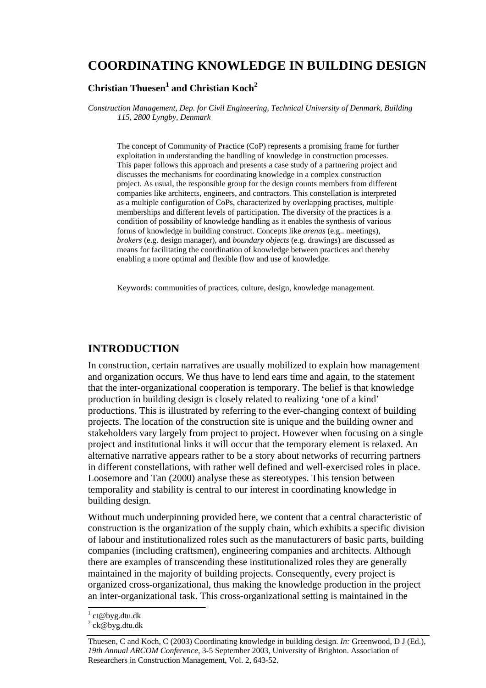# **COORDINATING KNOWLEDGE IN BUILDING DESIGN**

### **Christian Thuesen<sup>1</sup> and Christian Koch<sup>2</sup>**

*Construction Management, Dep. for Civil Engineering, Technical University of Denmark, Building 115, 2800 Lyngby, Denmark* 

The concept of Community of Practice (CoP) represents a promising frame for further exploitation in understanding the handling of knowledge in construction processes. This paper follows this approach and presents a case study of a partnering project and discusses the mechanisms for coordinating knowledge in a complex construction project. As usual, the responsible group for the design counts members from different companies like architects, engineers, and contractors. This constellation is interpreted as a multiple configuration of CoPs, characterized by overlapping practises, multiple memberships and different levels of participation. The diversity of the practices is a condition of possibility of knowledge handling as it enables the synthesis of various forms of knowledge in building construct. Concepts like *arenas* (e.g.. meetings), *brokers* (e.g. design manager), and *boundary objects* (e.g. drawings) are discussed as means for facilitating the coordination of knowledge between practices and thereby enabling a more optimal and flexible flow and use of knowledge.

Keywords: communities of practices, culture, design, knowledge management.

## **INTRODUCTION**

In construction, certain narratives are usually mobilized to explain how management and organization occurs. We thus have to lend ears time and again, to the statement that the inter-organizational cooperation is temporary. The belief is that knowledge production in building design is closely related to realizing 'one of a kind' productions. This is illustrated by referring to the ever-changing context of building projects. The location of the construction site is unique and the building owner and stakeholders vary largely from project to project. However when focusing on a single project and institutional links it will occur that the temporary element is relaxed. An alternative narrative appears rather to be a story about networks of recurring partners in different constellations, with rather well defined and well-exercised roles in place. Loosemore and Tan (2000) analyse these as stereotypes. This tension between temporality and stability is central to our interest in coordinating knowledge in building design.

Without much underpinning provided here, we content that a central characteristic of construction is the organization of the supply chain, which exhibits a specific division of labour and institutionalized roles such as the manufacturers of basic parts, building companies (including craftsmen), engineering companies and architects. Although there are examples of transcending these institutionalized roles they are generally maintained in the majority of building projects. Consequently, every project is organized cross-organizational, thus making the knowledge production in the project an inter-organizational task. This cross-organizational setting is maintained in the

<sup>&</sup>lt;sup>1</sup> ct@byg.dtu.dk

 $2$  ck@byg.dtu.dk

Thuesen, C and Koch, C (2003) Coordinating knowledge in building design. *In:* Greenwood, D J (Ed.), *19th Annual ARCOM Conference*, 3-5 September 2003, University of Brighton. Association of Researchers in Construction Management, Vol. 2, 643-52.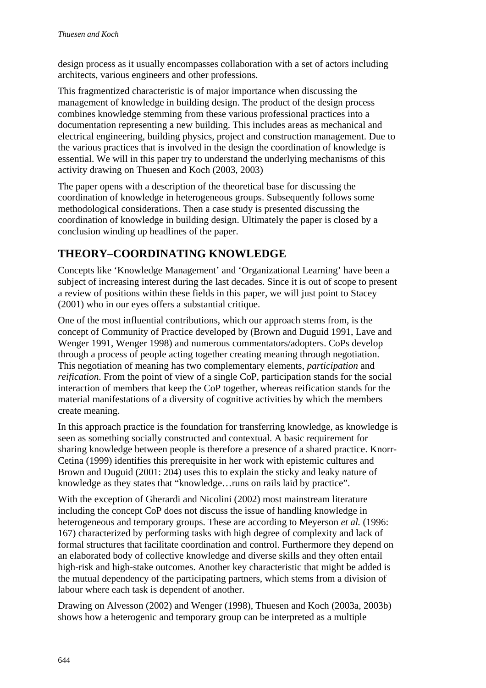design process as it usually encompasses collaboration with a set of actors including architects, various engineers and other professions.

This fragmentized characteristic is of major importance when discussing the management of knowledge in building design. The product of the design process combines knowledge stemming from these various professional practices into a documentation representing a new building. This includes areas as mechanical and electrical engineering, building physics, project and construction management. Due to the various practices that is involved in the design the coordination of knowledge is essential. We will in this paper try to understand the underlying mechanisms of this activity drawing on Thuesen and Koch (2003, 2003)

The paper opens with a description of the theoretical base for discussing the coordination of knowledge in heterogeneous groups. Subsequently follows some methodological considerations. Then a case study is presented discussing the coordination of knowledge in building design. Ultimately the paper is closed by a conclusion winding up headlines of the paper.

# **THEORY–COORDINATING KNOWLEDGE**

Concepts like 'Knowledge Management' and 'Organizational Learning' have been a subject of increasing interest during the last decades. Since it is out of scope to present a review of positions within these fields in this paper, we will just point to Stacey (2001) who in our eyes offers a substantial critique.

One of the most influential contributions, which our approach stems from, is the concept of Community of Practice developed by (Brown and Duguid 1991, Lave and Wenger 1991, Wenger 1998) and numerous commentators/adopters. CoPs develop through a process of people acting together creating meaning through negotiation. This negotiation of meaning has two complementary elements, *participation* and *reification*. From the point of view of a single CoP, participation stands for the social interaction of members that keep the CoP together, whereas reification stands for the material manifestations of a diversity of cognitive activities by which the members create meaning.

In this approach practice is the foundation for transferring knowledge, as knowledge is seen as something socially constructed and contextual. A basic requirement for sharing knowledge between people is therefore a presence of a shared practice. Knorr-Cetina (1999) identifies this prerequisite in her work with epistemic cultures and Brown and Duguid (2001: 204) uses this to explain the sticky and leaky nature of knowledge as they states that "knowledge…runs on rails laid by practice".

With the exception of Gherardi and Nicolini (2002) most mainstream literature including the concept CoP does not discuss the issue of handling knowledge in heterogeneous and temporary groups. These are according to Meyerson *et al.* (1996: 167) characterized by performing tasks with high degree of complexity and lack of formal structures that facilitate coordination and control. Furthermore they depend on an elaborated body of collective knowledge and diverse skills and they often entail high-risk and high-stake outcomes. Another key characteristic that might be added is the mutual dependency of the participating partners, which stems from a division of labour where each task is dependent of another.

Drawing on Alvesson (2002) and Wenger (1998), Thuesen and Koch (2003a, 2003b) shows how a heterogenic and temporary group can be interpreted as a multiple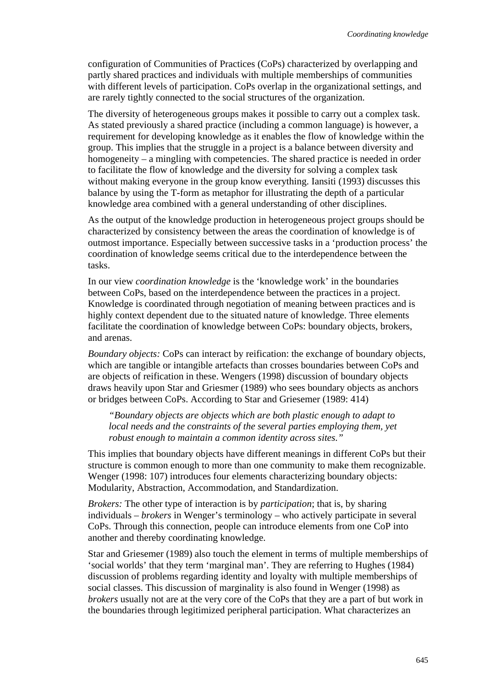configuration of Communities of Practices (CoPs) characterized by overlapping and partly shared practices and individuals with multiple memberships of communities with different levels of participation. CoPs overlap in the organizational settings, and are rarely tightly connected to the social structures of the organization.

The diversity of heterogeneous groups makes it possible to carry out a complex task. As stated previously a shared practice (including a common language) is however, a requirement for developing knowledge as it enables the flow of knowledge within the group. This implies that the struggle in a project is a balance between diversity and homogeneity – a mingling with competencies. The shared practice is needed in order to facilitate the flow of knowledge and the diversity for solving a complex task without making everyone in the group know everything. Iansiti (1993) discusses this balance by using the T-form as metaphor for illustrating the depth of a particular knowledge area combined with a general understanding of other disciplines.

As the output of the knowledge production in heterogeneous project groups should be characterized by consistency between the areas the coordination of knowledge is of outmost importance. Especially between successive tasks in a 'production process' the coordination of knowledge seems critical due to the interdependence between the tasks.

In our view *coordination knowledge* is the 'knowledge work' in the boundaries between CoPs, based on the interdependence between the practices in a project. Knowledge is coordinated through negotiation of meaning between practices and is highly context dependent due to the situated nature of knowledge. Three elements facilitate the coordination of knowledge between CoPs: boundary objects, brokers, and arenas.

*Boundary objects:* CoPs can interact by reification: the exchange of boundary objects, which are tangible or intangible artefacts than crosses boundaries between CoPs and are objects of reification in these. Wengers (1998) discussion of boundary objects draws heavily upon Star and Griesmer (1989) who sees boundary objects as anchors or bridges between CoPs. According to Star and Griesemer (1989: 414)

*"Boundary objects are objects which are both plastic enough to adapt to local needs and the constraints of the several parties employing them, yet robust enough to maintain a common identity across sites."* 

This implies that boundary objects have different meanings in different CoPs but their structure is common enough to more than one community to make them recognizable. Wenger (1998: 107) introduces four elements characterizing boundary objects: Modularity, Abstraction, Accommodation, and Standardization.

*Brokers:* The other type of interaction is by *participation*; that is, by sharing individuals – *brokers* in Wenger's terminology – who actively participate in several CoPs. Through this connection, people can introduce elements from one CoP into another and thereby coordinating knowledge.

Star and Griesemer (1989) also touch the element in terms of multiple memberships of 'social worlds' that they term 'marginal man'. They are referring to Hughes (1984) discussion of problems regarding identity and loyalty with multiple memberships of social classes. This discussion of marginality is also found in Wenger (1998) as *brokers* usually not are at the very core of the CoPs that they are a part of but work in the boundaries through legitimized peripheral participation. What characterizes an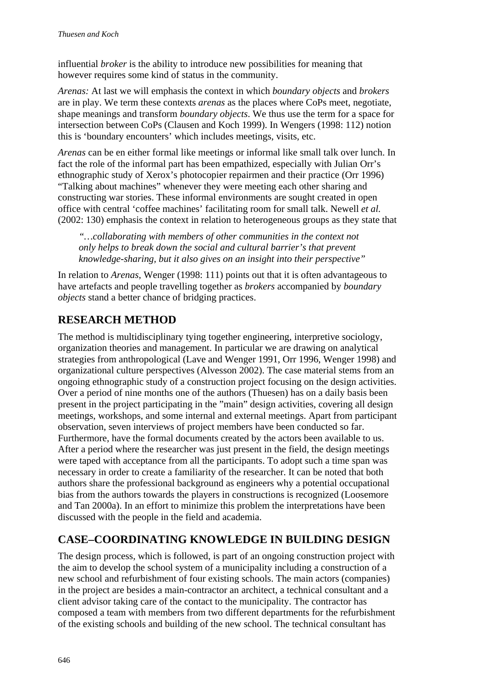influential *broker* is the ability to introduce new possibilities for meaning that however requires some kind of status in the community.

*Arenas:* At last we will emphasis the context in which *boundary objects* and *brokers* are in play. We term these contexts *arenas* as the places where CoPs meet, negotiate, shape meanings and transform *boundary objects*. We thus use the term for a space for intersection between CoPs (Clausen and Koch 1999). In Wengers (1998: 112) notion this is 'boundary encounters' which includes meetings, visits, etc.

*Arenas* can be en either formal like meetings or informal like small talk over lunch. In fact the role of the informal part has been empathized, especially with Julian Orr's ethnographic study of Xerox's photocopier repairmen and their practice (Orr 1996) "Talking about machines" whenever they were meeting each other sharing and constructing war stories. These informal environments are sought created in open office with central 'coffee machines' facilitating room for small talk. Newell *et al.* (2002: 130) emphasis the context in relation to heterogeneous groups as they state that

*"…collaborating with members of other communities in the context not only helps to break down the social and cultural barrier's that prevent knowledge-sharing, but it also gives on an insight into their perspective"* 

In relation to *Arenas*, Wenger (1998: 111) points out that it is often advantageous to have artefacts and people travelling together as *brokers* accompanied by *boundary objects* stand a better chance of bridging practices.

## **RESEARCH METHOD**

The method is multidisciplinary tying together engineering, interpretive sociology, organization theories and management. In particular we are drawing on analytical strategies from anthropological (Lave and Wenger 1991, Orr 1996, Wenger 1998) and organizational culture perspectives (Alvesson 2002). The case material stems from an ongoing ethnographic study of a construction project focusing on the design activities. Over a period of nine months one of the authors (Thuesen) has on a daily basis been present in the project participating in the "main" design activities, covering all design meetings, workshops, and some internal and external meetings. Apart from participant observation, seven interviews of project members have been conducted so far. Furthermore, have the formal documents created by the actors been available to us. After a period where the researcher was just present in the field, the design meetings were taped with acceptance from all the participants. To adopt such a time span was necessary in order to create a familiarity of the researcher. It can be noted that both authors share the professional background as engineers why a potential occupational bias from the authors towards the players in constructions is recognized (Loosemore and Tan 2000a). In an effort to minimize this problem the interpretations have been discussed with the people in the field and academia.

# **CASE–COORDINATING KNOWLEDGE IN BUILDING DESIGN**

The design process, which is followed, is part of an ongoing construction project with the aim to develop the school system of a municipality including a construction of a new school and refurbishment of four existing schools. The main actors (companies) in the project are besides a main-contractor an architect, a technical consultant and a client advisor taking care of the contact to the municipality. The contractor has composed a team with members from two different departments for the refurbishment of the existing schools and building of the new school. The technical consultant has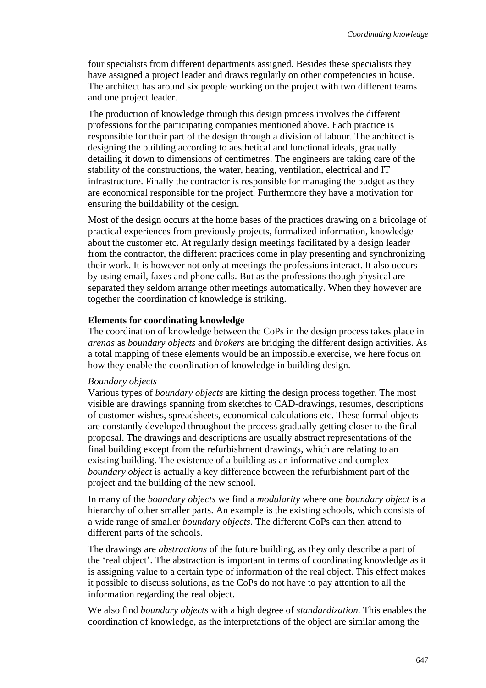four specialists from different departments assigned. Besides these specialists they have assigned a project leader and draws regularly on other competencies in house. The architect has around six people working on the project with two different teams and one project leader.

The production of knowledge through this design process involves the different professions for the participating companies mentioned above. Each practice is responsible for their part of the design through a division of labour. The architect is designing the building according to aesthetical and functional ideals, gradually detailing it down to dimensions of centimetres. The engineers are taking care of the stability of the constructions, the water, heating, ventilation, electrical and IT infrastructure. Finally the contractor is responsible for managing the budget as they are economical responsible for the project. Furthermore they have a motivation for ensuring the buildability of the design.

Most of the design occurs at the home bases of the practices drawing on a bricolage of practical experiences from previously projects, formalized information, knowledge about the customer etc. At regularly design meetings facilitated by a design leader from the contractor, the different practices come in play presenting and synchronizing their work. It is however not only at meetings the professions interact. It also occurs by using email, faxes and phone calls. But as the professions though physical are separated they seldom arrange other meetings automatically. When they however are together the coordination of knowledge is striking.

#### **Elements for coordinating knowledge**

The coordination of knowledge between the CoPs in the design process takes place in *arenas* as *boundary objects* and *brokers* are bridging the different design activities. As a total mapping of these elements would be an impossible exercise, we here focus on how they enable the coordination of knowledge in building design.

#### *Boundary objects*

Various types of *boundary objects* are kitting the design process together. The most visible are drawings spanning from sketches to CAD-drawings, resumes, descriptions of customer wishes, spreadsheets, economical calculations etc. These formal objects are constantly developed throughout the process gradually getting closer to the final proposal. The drawings and descriptions are usually abstract representations of the final building except from the refurbishment drawings, which are relating to an existing building. The existence of a building as an informative and complex *boundary object* is actually a key difference between the refurbishment part of the project and the building of the new school.

In many of the *boundary objects* we find a *modularity* where one *boundary object* is a hierarchy of other smaller parts. An example is the existing schools, which consists of a wide range of smaller *boundary objects*. The different CoPs can then attend to different parts of the schools.

The drawings are *abstractions* of the future building, as they only describe a part of the 'real object'. The abstraction is important in terms of coordinating knowledge as it is assigning value to a certain type of information of the real object. This effect makes it possible to discuss solutions, as the CoPs do not have to pay attention to all the information regarding the real object.

We also find *boundary objects* with a high degree of *standardization.* This enables the coordination of knowledge, as the interpretations of the object are similar among the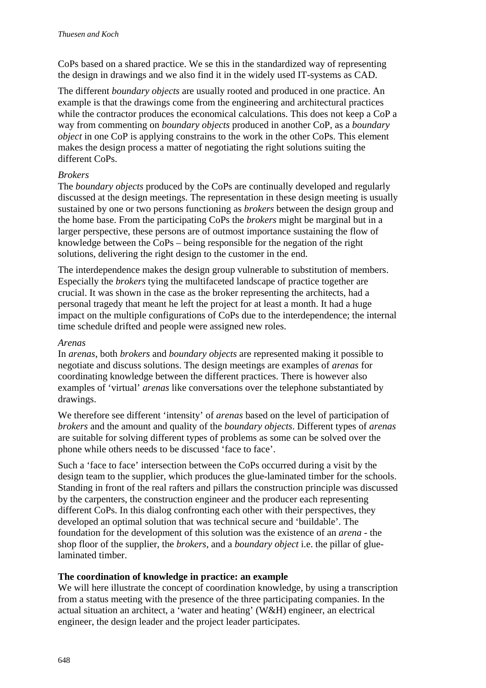CoPs based on a shared practice. We se this in the standardized way of representing the design in drawings and we also find it in the widely used IT-systems as CAD.

The different *boundary objects* are usually rooted and produced in one practice. An example is that the drawings come from the engineering and architectural practices while the contractor produces the economical calculations. This does not keep a CoP a way from commenting on *boundary objects* produced in another CoP, as a *boundary object* in one CoP is applying constrains to the work in the other CoPs. This element makes the design process a matter of negotiating the right solutions suiting the different CoPs.

### *Brokers*

The *boundary objects* produced by the CoPs are continually developed and regularly discussed at the design meetings. The representation in these design meeting is usually sustained by one or two persons functioning as *brokers* between the design group and the home base. From the participating CoPs the *brokers* might be marginal but in a larger perspective, these persons are of outmost importance sustaining the flow of knowledge between the CoPs – being responsible for the negation of the right solutions, delivering the right design to the customer in the end.

The interdependence makes the design group vulnerable to substitution of members. Especially the *brokers* tying the multifaceted landscape of practice together are crucial. It was shown in the case as the broker representing the architects, had a personal tragedy that meant he left the project for at least a month. It had a huge impact on the multiple configurations of CoPs due to the interdependence; the internal time schedule drifted and people were assigned new roles.

#### *Arenas*

In *arenas*, both *brokers* and *boundary objects* are represented making it possible to negotiate and discuss solutions. The design meetings are examples of *arenas* for coordinating knowledge between the different practices. There is however also examples of 'virtual' *arenas* like conversations over the telephone substantiated by drawings.

We therefore see different 'intensity' of *arenas* based on the level of participation of *brokers* and the amount and quality of the *boundary objects*. Different types of *arenas*  are suitable for solving different types of problems as some can be solved over the phone while others needs to be discussed 'face to face'.

Such a 'face to face' intersection between the CoPs occurred during a visit by the design team to the supplier, which produces the glue-laminated timber for the schools. Standing in front of the real rafters and pillars the construction principle was discussed by the carpenters, the construction engineer and the producer each representing different CoPs. In this dialog confronting each other with their perspectives, they developed an optimal solution that was technical secure and 'buildable'. The foundation for the development of this solution was the existence of an *arena* - the shop floor of the supplier, the *brokers,* and a *boundary object* i.e. the pillar of gluelaminated timber.

### **The coordination of knowledge in practice: an example**

We will here illustrate the concept of coordination knowledge, by using a transcription from a status meeting with the presence of the three participating companies. In the actual situation an architect, a 'water and heating' (W&H) engineer, an electrical engineer, the design leader and the project leader participates.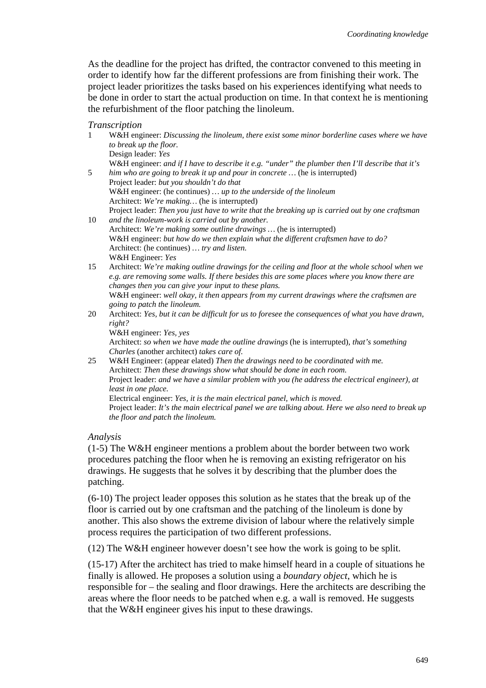As the deadline for the project has drifted, the contractor convened to this meeting in order to identify how far the different professions are from finishing their work. The project leader prioritizes the tasks based on his experiences identifying what needs to be done in order to start the actual production on time. In that context he is mentioning the refurbishment of the floor patching the linoleum.

#### *Transcription*

| $\mathbf{1}$ | W&H engineer: Discussing the linoleum, there exist some minor borderline cases where we have<br>to break up the floor.<br>Design leader: Yes                                                                                                           |
|--------------|--------------------------------------------------------------------------------------------------------------------------------------------------------------------------------------------------------------------------------------------------------|
|              | W&H engineer: and if I have to describe it e.g. "under" the plumber then I'll describe that it's                                                                                                                                                       |
| 5            | him who are going to break it up and pour in concrete  (he is interrupted)<br>Project leader: but you shouldn't do that                                                                                                                                |
|              | W&H engineer: (he continues)  up to the underside of the linoleum                                                                                                                                                                                      |
|              | Architect: We're making (he is interrupted)                                                                                                                                                                                                            |
| 10           | Project leader: Then you just have to write that the breaking up is carried out by one craftsman<br>and the linoleum-work is carried out by another.                                                                                                   |
|              | Architect: We're making some outline drawings  (he is interrupted)                                                                                                                                                                                     |
|              | W&H engineer: but how do we then explain what the different craftsmen have to do?                                                                                                                                                                      |
|              | Architect: (he continues)  try and listen.<br>W&H Engineer: Yes                                                                                                                                                                                        |
| 15           | Architect: We're making outline drawings for the ceiling and floor at the whole school when we<br>e.g. are removing some walls. If there besides this are some places where you know there are<br>changes then you can give your input to these plans. |
|              | W&H engineer: well okay, it then appears from my current drawings where the craftsmen are                                                                                                                                                              |
|              | going to patch the linoleum.                                                                                                                                                                                                                           |
| 20           | Architect: Yes, but it can be difficult for us to foresee the consequences of what you have drawn,<br>right?                                                                                                                                           |
|              | W&H engineer: Yes, yes                                                                                                                                                                                                                                 |
|              | Architect: so when we have made the outline drawings (he is interrupted), that's something<br>Charles (another architect) takes care of.                                                                                                               |
| 25           | W&H Engineer: (appear elated) Then the drawings need to be coordinated with me.<br>Architect: Then these drawings show what should be done in each room.                                                                                               |
|              | Project leader: and we have a similar problem with you (he address the electrical engineer), at<br>least in one place.                                                                                                                                 |
|              | Electrical engineer: Yes, it is the main electrical panel, which is moved.<br>Project leader: It's the main electrical panel we are talking about. Here we also need to break up                                                                       |
|              | the floor and patch the linoleum.                                                                                                                                                                                                                      |

*Analysis* 

(1-5) The W&H engineer mentions a problem about the border between two work procedures patching the floor when he is removing an existing refrigerator on his drawings. He suggests that he solves it by describing that the plumber does the patching.

(6-10) The project leader opposes this solution as he states that the break up of the floor is carried out by one craftsman and the patching of the linoleum is done by another. This also shows the extreme division of labour where the relatively simple process requires the participation of two different professions.

(12) The W&H engineer however doesn't see how the work is going to be split.

(15-17) After the architect has tried to make himself heard in a couple of situations he finally is allowed. He proposes a solution using a *boundary object*, which he is responsible for – the sealing and floor drawings. Here the architects are describing the areas where the floor needs to be patched when e.g. a wall is removed. He suggests that the W&H engineer gives his input to these drawings.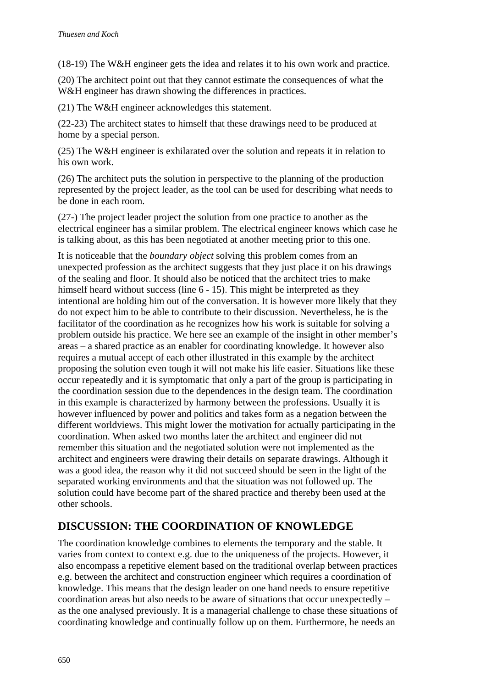(18-19) The W&H engineer gets the idea and relates it to his own work and practice.

(20) The architect point out that they cannot estimate the consequences of what the W&H engineer has drawn showing the differences in practices.

(21) The W&H engineer acknowledges this statement.

(22-23) The architect states to himself that these drawings need to be produced at home by a special person.

(25) The W&H engineer is exhilarated over the solution and repeats it in relation to his own work.

(26) The architect puts the solution in perspective to the planning of the production represented by the project leader, as the tool can be used for describing what needs to be done in each room.

(27-) The project leader project the solution from one practice to another as the electrical engineer has a similar problem. The electrical engineer knows which case he is talking about, as this has been negotiated at another meeting prior to this one.

It is noticeable that the *boundary object* solving this problem comes from an unexpected profession as the architect suggests that they just place it on his drawings of the sealing and floor. It should also be noticed that the architect tries to make himself heard without success (line  $6 - 15$ ). This might be interpreted as they intentional are holding him out of the conversation. It is however more likely that they do not expect him to be able to contribute to their discussion. Nevertheless, he is the facilitator of the coordination as he recognizes how his work is suitable for solving a problem outside his practice. We here see an example of the insight in other member's areas – a shared practice as an enabler for coordinating knowledge. It however also requires a mutual accept of each other illustrated in this example by the architect proposing the solution even tough it will not make his life easier. Situations like these occur repeatedly and it is symptomatic that only a part of the group is participating in the coordination session due to the dependences in the design team. The coordination in this example is characterized by harmony between the professions. Usually it is however influenced by power and politics and takes form as a negation between the different worldviews. This might lower the motivation for actually participating in the coordination. When asked two months later the architect and engineer did not remember this situation and the negotiated solution were not implemented as the architect and engineers were drawing their details on separate drawings. Although it was a good idea, the reason why it did not succeed should be seen in the light of the separated working environments and that the situation was not followed up. The solution could have become part of the shared practice and thereby been used at the other schools.

## **DISCUSSION: THE COORDINATION OF KNOWLEDGE**

The coordination knowledge combines to elements the temporary and the stable. It varies from context to context e.g. due to the uniqueness of the projects. However, it also encompass a repetitive element based on the traditional overlap between practices e.g. between the architect and construction engineer which requires a coordination of knowledge. This means that the design leader on one hand needs to ensure repetitive coordination areas but also needs to be aware of situations that occur unexpectedly – as the one analysed previously. It is a managerial challenge to chase these situations of coordinating knowledge and continually follow up on them. Furthermore, he needs an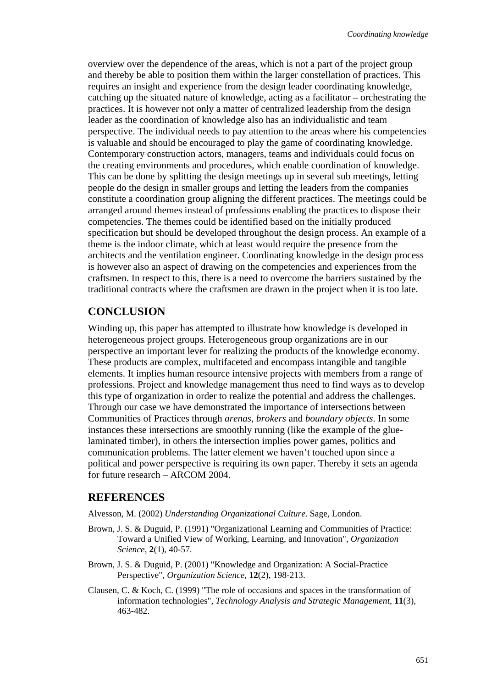overview over the dependence of the areas, which is not a part of the project group and thereby be able to position them within the larger constellation of practices. This requires an insight and experience from the design leader coordinating knowledge, catching up the situated nature of knowledge, acting as a facilitator – orchestrating the practices. It is however not only a matter of centralized leadership from the design leader as the coordination of knowledge also has an individualistic and team perspective. The individual needs to pay attention to the areas where his competencies is valuable and should be encouraged to play the game of coordinating knowledge. Contemporary construction actors, managers, teams and individuals could focus on the creating environments and procedures, which enable coordination of knowledge. This can be done by splitting the design meetings up in several sub meetings, letting people do the design in smaller groups and letting the leaders from the companies constitute a coordination group aligning the different practices. The meetings could be arranged around themes instead of professions enabling the practices to dispose their competencies. The themes could be identified based on the initially produced specification but should be developed throughout the design process. An example of a theme is the indoor climate, which at least would require the presence from the architects and the ventilation engineer. Coordinating knowledge in the design process is however also an aspect of drawing on the competencies and experiences from the craftsmen. In respect to this, there is a need to overcome the barriers sustained by the traditional contracts where the craftsmen are drawn in the project when it is too late.

### **CONCLUSION**

Winding up, this paper has attempted to illustrate how knowledge is developed in heterogeneous project groups. Heterogeneous group organizations are in our perspective an important lever for realizing the products of the knowledge economy. These products are complex, multifaceted and encompass intangible and tangible elements. It implies human resource intensive projects with members from a range of professions. Project and knowledge management thus need to find ways as to develop this type of organization in order to realize the potential and address the challenges. Through our case we have demonstrated the importance of intersections between Communities of Practices through *arenas*, *brokers* and *boundary objects*. In some instances these intersections are smoothly running (like the example of the gluelaminated timber), in others the intersection implies power games, politics and communication problems. The latter element we haven't touched upon since a political and power perspective is requiring its own paper. Thereby it sets an agenda for future research – ARCOM 2004.

### **REFERENCES**

Alvesson, M. (2002) *Understanding Organizational Culture*. Sage, London.

- Brown, J. S. & Duguid, P. (1991) "Organizational Learning and Communities of Practice: Toward a Unified View of Working, Learning, and Innovation", *Organization Science*, **2**(1), 40-57.
- Brown, J. S. & Duguid, P. (2001) "Knowledge and Organization: A Social-Practice Perspective", *Organization Science*, **12**(2), 198-213.
- Clausen, C. & Koch, C. (1999) "The role of occasions and spaces in the transformation of information technologies", *Technology Analysis and Strategic Management*, **11**(3), 463-482.